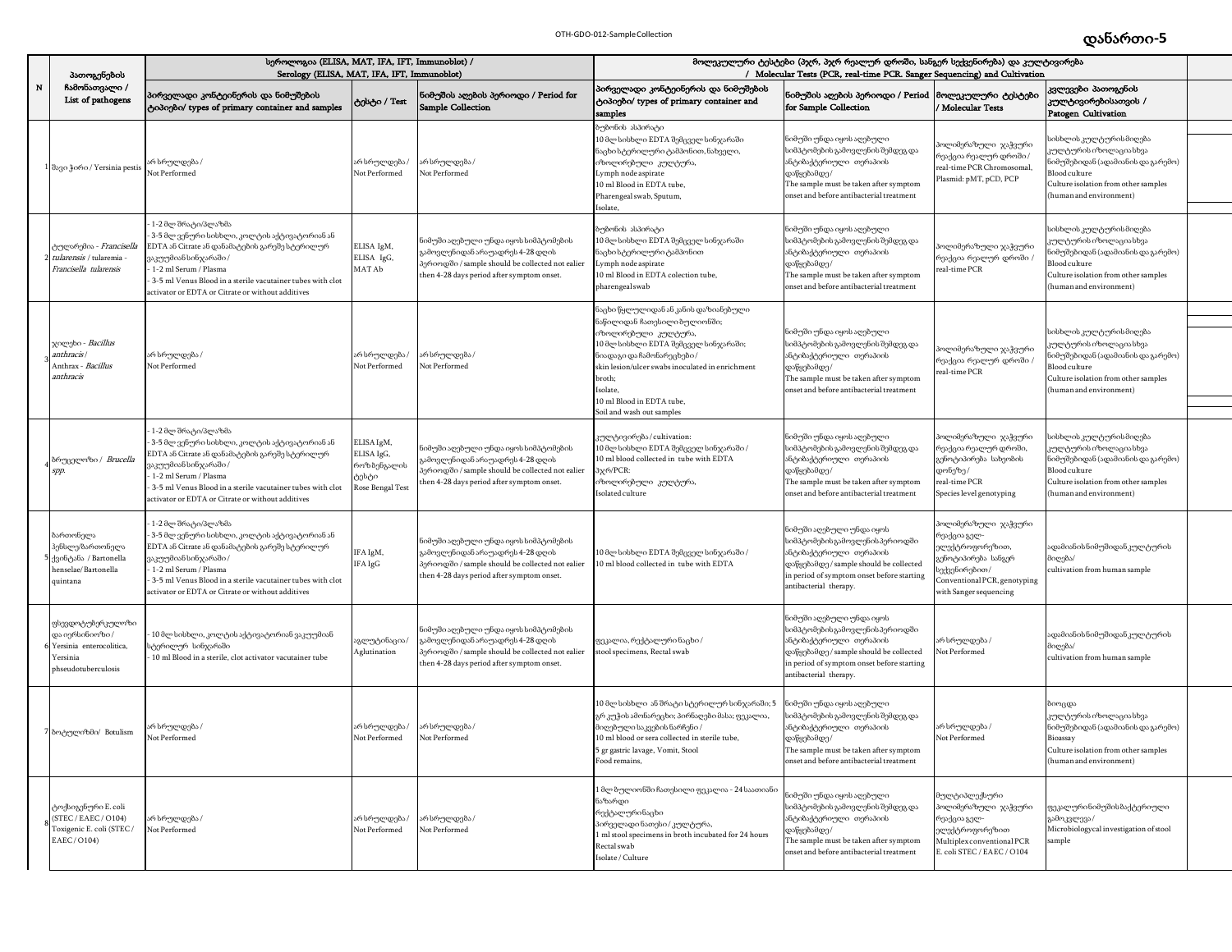## დანართი**-5** OTH-GDO-012-SampleCollection

|        | პათოგენების                                                                                       | სეროლოგია (ELISA, MAT, IFA, IFT, Immunoblot) /<br>Serology (ELISA, MAT, IFA, IFT, Immunoblot)                                                                                                                                                                                                  |                                                                      |                                                                                                                                                                            | მოლეკულური ტესტები (პჯრ, პჯრ რეალურ დროში, სანგერ სექვენირება) და კულტივირება<br>/ Molecular Tests (PCR, real-time PCR. Sanger Sequencing) and Cultivation                                                                                                                                             |                                                                                                                                                                                                         |                                                                                                                                                         |                                                                                                                                                                                         |  |
|--------|---------------------------------------------------------------------------------------------------|------------------------------------------------------------------------------------------------------------------------------------------------------------------------------------------------------------------------------------------------------------------------------------------------|----------------------------------------------------------------------|----------------------------------------------------------------------------------------------------------------------------------------------------------------------------|--------------------------------------------------------------------------------------------------------------------------------------------------------------------------------------------------------------------------------------------------------------------------------------------------------|---------------------------------------------------------------------------------------------------------------------------------------------------------------------------------------------------------|---------------------------------------------------------------------------------------------------------------------------------------------------------|-----------------------------------------------------------------------------------------------------------------------------------------------------------------------------------------|--|
| $\,$ N | ჩამონათვალი /<br>List of pathogens                                                                | პირველადი კონტეინერის და ნიმუშების<br>ტიპიები/ types of primary container and samples                                                                                                                                                                                                          | ტესტი / Test                                                         | ნიმუშის აღების პერიოდი / Period for<br>Sample Collection                                                                                                                   | პირველადი კონტეინერის და ნიმუშების<br>ტიპიები/ types of primary container and<br>samples                                                                                                                                                                                                               | ნიმუშის აღების პერიოდი / Period<br>for Sample Collection                                                                                                                                                | მოლეკულური ტესტები<br>Molecular Tests                                                                                                                   | კვლევები პათოგენის<br>კულტივირებისათვის /<br>Patogen Cultivation                                                                                                                        |  |
|        | l dago }o6o / Yersinia pestis                                                                     | არ სრულდება /<br>Not Performed                                                                                                                                                                                                                                                                 | არ სრულდება /<br>Not Performed                                       | არ სრულდება /<br>Not Performed                                                                                                                                             | ბუბონის ასპირატი<br>10 მლ სისხლი EDTA შემცველ სინჯარაში<br>ნაცხი სტერილური ტამპონით, ნახველი,<br>იზოლირებული კულტურა,<br>Lymph node aspirate<br>10 ml Blood in EDTA tube,<br>Pharengeal swab, Sputum,<br>solate,                                                                                       | ნიმუში უნდა იყოს აღებული<br>აიმპტომეზის გამოვლენის შემდეგ და<br>ანტიბაქტერიული თერაპიის<br>დაწყებამდე/<br>The sample must be taken after symptom<br>onset and before antibacterial treatment            | ოლიმერაზული ჯაჭვური<br>.<br>რეაქცია რეალურ დროში /<br>real-time PCR Chromosomal,<br>Plasmid: pMT, pCD, PCP                                              | iისხლის კულტურის მიღება<br>ცულტურის იზოლაციასხვა<br>ნიმუშებიდან (ადამიანის და გარემო)<br>Blood culture<br>Culture isolation from other samples<br>(human and environment)               |  |
|        | <mark>ე</mark> ულარემია - <i>Francisella</i><br>tularensis / tularemia<br>Francisella tularensis  | 1-2 მლ შრატი/პლაზმა<br>: 3-5 მლ ვენური სისხლი, კოლტის აქტივატორიან ან<br>EDTA ან Citrate ან დანამატების გარეშე სტერილურ<br>ვაკუუმიან სინჯარაში /<br>1-2 ml Serum / Plasma<br>3-5 ml Venus Blood in a sterile vacutainer tubes with clot<br>activator or EDTA or Citrate or without additives   | ELISA IgM,<br>ELISA IgG,<br>MAT Ab                                   | ნიმუში აღებული უნდა იყოს სიმპტომების<br>გამოვლენიდან არაუადრეს 4-28 დღის<br>პერიოდში / sample should be collected not ealier<br>then 4-28 days period after symptom onset. | ბუბონის ასპირატი<br>10 მლ სისხლი EDTA შემცველ სინჯარაში<br>ნაცხი სტერილური ტამპონით-<br>Lymph node aspirate<br>0 ml Blood in EDTA colection tube,<br>pharengeal swab                                                                                                                                   | ნიმუში უნდა იყოს აღებული<br>სიმპტომების გამოვლენის შემდეგ და<br>ანტიბაქტერიული თერაპიის<br>დაწყებამდე/<br>The sample must be taken after symptom<br>onset and before antibacterial treatment            | ოლიმერაზული ჯაჭვური<br>რეაქცია რეალურ დროში /<br>eal-time PCR                                                                                           | სისხლის კულტურის მიღება<br>კულტურის იზოლაცია სხვა<br>.<br>იმუშებიდან (ადამიანის და გარემო)<br>Blood culture<br>Culture isolation from other samples<br>(human and environment)          |  |
|        | ჯილეხი - <i>Bacillus</i><br>anthracis<br>Anthrax - <i>Bacillus</i><br>anthracis                   | არ სრულდება/<br>Not Performed                                                                                                                                                                                                                                                                  | არ სრულდება /<br>Not Performed                                       | რ სრულდება<br>Not Performed                                                                                                                                                | ნაცხი წყლულიდან ან კანის დაზიანებული<br>ნაწილიდან ჩათესილი ბულიონში;<br>იზოლირებული კულტურა,<br>10 მლ სისხლი EDTA შემცველ სინჯარაში;<br>ნიადაგი და ჩამონარეცხები /<br>skin lesion/ulcer swabs inoculated in enrichment<br>broth;<br>Isolate,<br>10 ml Blood in EDTA tube,<br>Soil and wash out samples | ნიმუში უნდა იყოს აღებული<br>სიმპტომების გამოვლენის შემდეგ და<br>ანტიბაქტერიული თერაპიის<br>დაწყებამდე/<br>The sample must be taken after symptom<br>onset and before antibacterial treatment            | ოლიმერაზული ჯაჭვური<br>რეაქცია რეალურ <mark>დროში</mark> /<br>eal-time PCR                                                                              | აისხლის კულტურის მიღება<br>ყულტურის იზოლაციას <mark>ხ</mark> ვა<br>იმუშებიდან (ადამიანის და გარემო)<br>Blood culture<br>Culture isolation from other samples<br>(human and environment) |  |
|        | ბრუცელოზი / <i>Brucella</i><br>spp.                                                               | 1-2 მლ შრატი/პლაზმა<br>3-5 მლ ვენური სისხლი, კოლტის აქტივატორიან ან<br>EDTA ან Citrate ან დანამატების გარეშე სტერილურ<br>ვაკუუმიან სინჯარაში /<br>1-2 ml Serum / Plasma<br>3-5 ml Venus Blood in a sterile vacutainer tubes with clot<br>activator or EDTA or Citrate or without additives     | ELISA IgM,<br>ELISA IgG,<br>როზბენგალის<br>ტესტი<br>lose Bengal Test | ნიმუში აღეზული უნდა იყოს სიმპტომეზის<br>ამოვლენიდან არაუადრეს 4-28 დღის<br>პერიოდში / sample should be collected not ealier<br>then 4-28 days period after symptom onset.  | კულტივირება/cultivation:<br>10 მლ სისხლი EDTA შემცველ სინჯარაში /<br>10 ml blood collected in tube with EDTA<br>3x6/PCR:<br>იზოლირებული კულტურა,<br>solated culture                                                                                                                                    | ნიმუში უნდა იყოს აღებული<br>სიმპტომების გამოვლენის შემდეგ და<br>ანტიბაქტერიული თერაპიის<br>დაწყებამდე /<br>The sample must be taken after symptom<br>onset and before antibacterial treatment           | ოლიმერაზული ჯაჭვური<br>რეაქცია რეალურ დროში,<br>გენოტიპირება სახეობის<br>ღონეზე/<br>real-time PCR<br>Species level genotyping                           | აისხლის კულტურის მიღება<br>კულტურის იზოლაცია სხვა<br>ნიმუშებიდან (ადამიანის და გარემო)<br>Blood culture<br>Culture isolation from other samples<br>human and environment)               |  |
|        | სართონელა<br>ჰენსლე/ზართონელა<br>ქვინტანა / Bartonella<br>enselae/Bartonella<br>quintana          | - 1-2 მლ შრატი/პლაზმა<br>: 3-5 მლ ვენური სისხლი, კოლტის აქტივატორიან ან<br>EDTA ან Citrate ან დანამატების გარეშე სტერილურ<br>ვაკუუმიან სინჯარაში /<br>1-2 ml Serum / Plasma<br>3-5 ml Venus Blood in a sterile vacutainer tubes with clot<br>ectivator or EDTA or Citrate or without additives | IFA IgM,<br>IFA IgG                                                  | ნიმუში აღეზული უნდა იყოს სიმპტომეზის<br>გამოვლენიდან არაუადრეს 4-28 დღის<br>პერიოდში / sample should be collected not ealier<br>then 4-28 days period after symptom onset. | 0 მლ სისხლი EDTA შემცველ სინჯარაში /<br>0 ml blood collected in tube with EDTA                                                                                                                                                                                                                         | ნიმუში აღებული უნდა იყოს<br>სიმპტომების გამოვლენის პერიოდში<br>ანტიბაქტერიული თერაპიის<br>დაწყებამდე / sample should be collected<br>n period of symptom onset before starting<br>ntibacterial therapy. | ოლიმერაზული ჯაჭვური<br>რეაქცია გელ-<br>)ლექტროფორეზით,<br>გენოტიპირება სანგერ<br>ექვენირებით/<br>Conventional PCR, genotyping<br>with Sanger sequencing | ადამიანისნიმუშიდანკულტურის<br>მიღება/<br>cultivation from human sample                                                                                                                  |  |
|        | ფსევდოტუზერკულოზი<br>და იერსინიოზი /<br>Yersinia enterocolitica<br>Yersinia<br>hseudotuberculosis | 10 მლ სისხლი, კოლტის აქტივატორიან ვაკუუმიან<br>სტერილურ სინჯარაში<br>10 ml Blood in a sterile, clot activator vacutainer tube                                                                                                                                                                  | აგლუტინაცია/<br>Aglutination                                         | ნიმუში აღებული უნდა იყოს სიმპტომების<br>გამოვლენიდან არაუადრეს 4-28 დღის<br>პერიოდში / sample should be collected not ealier<br>then 4-28 days period after symptom onset. | ფეკალია, რექტალური ნაცხი /<br>stool specimens, Rectal swab                                                                                                                                                                                                                                             | ნიმუში აღებული უნდა იყოს<br>სიმპტომებისგამოვლენისპერიოდში<br>ანტიბაქტერიული თერაპიის<br>დაწყებამდე / sample should be collected<br>n period of symptom onset before starting<br>ntibacterial therapy.   | არ სრულდება /<br>Not Performed                                                                                                                          | ადამიანისნიმუშიდანკულტურის<br>მიღება/<br>cultivation from human sample                                                                                                                  |  |
|        | 7 ბოტულიზმი/ Botulism                                                                             | არ სრულდება /<br>Not Performed                                                                                                                                                                                                                                                                 | არ სრულდება /<br>Not Performed                                       | არ სრულდება /<br>Not Performed                                                                                                                                             | 0 მლ სისხლი ან შრატი სტერილურ სინჯარაში; 5<br>გრ კუჭის ამონარეცხი; პირნაღეზი მასა; ფეკალია,<br>მიღებული საკვების ნარჩენი /<br>10 ml blood or sera collected in sterile tube,<br>5 gr gastric lavage, Vomit, Stool<br>Food remains,                                                                     | ნიმუში უნდა იყოს აღებული<br>აიმპტომების გამოვლენის შემდეგ და<br>ანტიბაქტერიული თერაპიის<br>დაწყებამდე/<br>I he sample must be taken after symptom<br>onset and before antibacterial treatment           | არ სრულდება /<br>Not Performed                                                                                                                          | ზიოცდა<br>კულტურის იზოლაცია სხვა<br>ნიმუშებიდან (ადამიანის და გარემო)<br>Bioassay<br>Culture isolation from other samples<br>(human and environment)                                    |  |
|        | ტოქსიგენური E. coli<br>(STEC / EAEC / O104)<br>Toxigenic E. coli (STEC/<br>EAEC/O104)             | არ სრულდება /<br>Not Performed                                                                                                                                                                                                                                                                 | არ სრულდება /<br>Not Performed                                       | არ სრულდება /<br>Not Performed                                                                                                                                             | მლ ზულიონში ჩათესილი ფეკალია - 24 საათიანი<br>ნაზარდი<br>რექტალურინაცხი<br>პირველადი ნათესი / კულტურა,<br>ml stool specimens in broth incubated for 24 hours<br>Rectal swab<br>Isolate / Culture                                                                                                       | .<br>ioმუში უნდა იყოს აღებული<br>სიმპტომეზის გამოვლენის შემდეგ და<br>ანტიბაქტერიული თერაპიის<br>დაწყებამდე/<br>The sample must be taken after symptom<br>onset and before antibacterial treatment       | <mark>სულტიპლექსური</mark><br>პოლიმერაზული ჯაჭვური<br>რეაქცია გელ-<br>ელექტროფორეზით<br>Multiplex conventional PCR<br>E. coli STEC / EAEC / O104        | ფეკალურინიმუშისბაქტერიული<br>გამოკვლევა /<br>Microbiologycal investigation of stool<br>sample                                                                                           |  |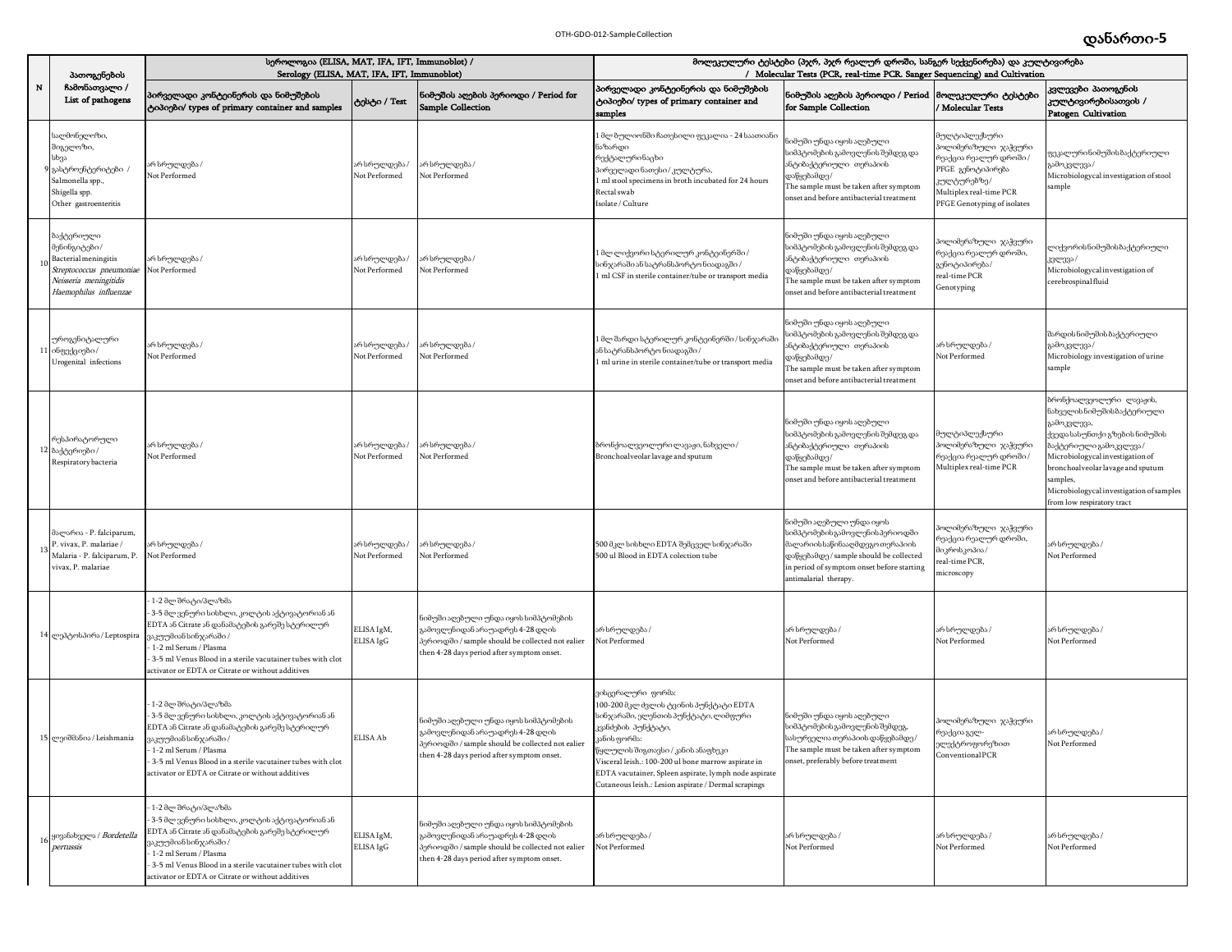|           | პათოგენების                                                                                                                        | სეროლოგია (ELISA, MAT, IFA, IFT, Immunoblot) /<br>Serology (ELISA, MAT, IFA, IFT, Immunoblot)                                                                                                                                                                                              |                                |                                                                                                                                                                            | მოლეკულური ტესტები (პჯრ, პჯრ რეალურ დროში, სანგერ სექვენირება) და კულტივირება<br>/ Molecular Tests (PCR, real-time PCR. Sanger Sequencing) and Cultivation                                                                                                                                                                                               |                                                                                                                                                                                                                 |                                                                                                                                                              |                                                                                                                                                                                                                                                                                                  |
|-----------|------------------------------------------------------------------------------------------------------------------------------------|--------------------------------------------------------------------------------------------------------------------------------------------------------------------------------------------------------------------------------------------------------------------------------------------|--------------------------------|----------------------------------------------------------------------------------------------------------------------------------------------------------------------------|----------------------------------------------------------------------------------------------------------------------------------------------------------------------------------------------------------------------------------------------------------------------------------------------------------------------------------------------------------|-----------------------------------------------------------------------------------------------------------------------------------------------------------------------------------------------------------------|--------------------------------------------------------------------------------------------------------------------------------------------------------------|--------------------------------------------------------------------------------------------------------------------------------------------------------------------------------------------------------------------------------------------------------------------------------------------------|
| ${\bf N}$ | ჩამონათვალი /<br>List of pathogens                                                                                                 | პირველადი კონტეინერის და ნიმუშების<br>ტიპიები/ types of primary container and samples                                                                                                                                                                                                      | ტესტი / Test                   | ნიმუშის აღების პერიოდი / Period for<br><b>Sample Collection</b>                                                                                                            | პირველადი კონტეინერის და ნიმუშების<br>ტიპიები/ types of primary container and<br>samples                                                                                                                                                                                                                                                                 | ნიმუშის აღების პერიოდი / Period<br>for Sample Collection                                                                                                                                                        | მოლეკულური ტესტები<br>Molecular Tests                                                                                                                        | კვლევები პათოგენის<br>კულტივირებისათვის /<br>Patogen Cultivation                                                                                                                                                                                                                                 |
|           | სალმონელოზი,<br>შიგელოზი,<br>სხვა<br>გასტროენტერიტები .<br>Salmonella spp.,<br>Shigella spp.<br>Other gastroenteritis              | არ სრულდება /<br>Not Performed                                                                                                                                                                                                                                                             | არ სრულდება /<br>Not Performed | არ სრულდება /<br>Not Performed                                                                                                                                             | . მლ ზულიონში ჩათესილი ფეკალია - 24 საათიანი<br>საზარდი<br>რექტალურინაცხი<br>პირველადი ნათესი / კულტურა,<br>ml stool specimens in broth incubated for 24 hours<br>Rectal swab<br>solate / Culture                                                                                                                                                        | ნიმუში უნდა იყოს აღებული<br>სიმპტომების გამოვლენის შემდეგ და<br>ანტიბაქტერიული თერაპიის<br>დაწყებამდე /<br>The sample must be taken after symptom<br>onset and before antibacterial treatment                   | )ულტიპლექსური<br>ოლიმერაზული ჯაჭვური<br>რეაქცია რეალურ დროში /<br>PFGE გენოტიპირება<br>კულტურებზე/<br>Multiplex real-time PCR<br>PFGE Genotyping of isolates | გეკალურინიმუშის ბაქტერიული<br>გამოკვლევა /<br>Microbiologycal investigation of stool<br>ample                                                                                                                                                                                                    |
|           | ბაქტერიული<br>მენინგიტები/<br>Bacterial meningitis<br>Streptococcus pneumoniae<br>Neisseria meningitidis<br>Haemophilus influenzae | არ სრულდება /<br>Not Performed                                                                                                                                                                                                                                                             | არ სრულდება /<br>Not Performed | არ სრულდება /<br>Not Performed                                                                                                                                             | მლ ლიქვორი სტერილურ კონტეინერში /<br>აინჯარაში ან სატრანსპორტო ნიადაგში /<br>ml CSF in sterile container/tube or transport media                                                                                                                                                                                                                         | ნიმუში უნდა იყოს აღებული<br>სიმპტომების გამოვლენის შემდეგ და<br>ანტიბაქტერიული თერაპიის<br>დაწყებამდე/<br>The sample must be taken after symptom<br>onset and before antibacterial treatment                    | iოლიმერაზული ჯაჭვური<br>.<br>რეაქცია რეალურ დროში,<br>გენოტიპირება/<br>real-time PCR<br>Genotyping                                                           | ლიქვორის ნიმუშის ბაქტერიული<br>ვვლევა /<br>Microbiologycal investigation of<br>cerebrospinal fluid                                                                                                                                                                                               |
|           | უროგენიტალური<br>ინფექციები /<br>Urogenital infections                                                                             | არ სრულდება /<br>Not Performed                                                                                                                                                                                                                                                             | არ სრულდება /<br>Not Performed | არ სრულდება /<br>Not Performed                                                                                                                                             | მლ შარდი სტერილურ კონტეინერში / სინჯარაშ<br>ან სატრანსპორტო ნიადაგში /<br>ml urine in sterile container/tube or transport media                                                                                                                                                                                                                          | ნიმუში უნდა იყოს აღებული<br>სიმპტომეზის გამოვლენის შემდეგ და<br>ანტიბაქტერიული თერაპიის<br>დაწყებამდე/<br>The sample must be taken after symptom<br>onset and before antibacterial treatment                    | არ სრულდება /<br>Not Performed                                                                                                                               | შარდის ნიმუშის ბაქტერიული<br>გამოკვლევა /<br>Microbiology investigation of urine<br>sample                                                                                                                                                                                                       |
|           | რესპირატორული<br>12 ბაქტერიები/<br>Respiratory bacteria                                                                            | არ სრულდება /<br>Not Performed                                                                                                                                                                                                                                                             | არ სრულდება /<br>Not Performed | არ სრულდება /<br>Not Performed                                                                                                                                             | ბრონქოალვეოლური ლავაჟი, ნახველი /<br>Bronchoalveolar lavage and sputum                                                                                                                                                                                                                                                                                   | ნიმუში უნდა იყოს აღებული<br>სიმპტომების გამოვლენის შემდეგ და<br>ანტიბაქტერიული თერაპიის<br>დაწყებამდე/<br>The sample must be taken after symptom<br>onset and before antibacterial treatment                    | მულტიპლექსური<br>პოლიმერაზული ჯაჭვური<br>რეაქცია რეალურ დროში /<br>Multiplex real-time PCR                                                                   | ბრონქოალვეოლური ლავაჟის,<br>ნახველის ნიმუშის ბაქტერიული<br>გამოკვლევა,<br>ქვედა სასუნთქი გზების ნიმუშის<br>ბაქტერიული გამოკვლევა /<br>Microbiologycal investigation of<br>bronchoalveolar lavage and sputum<br>samples,<br>Microbiologycal investigation of samples<br>rom low respiratory tract |
|           | მალარია - P. falciparum,<br>P. vivax, P. malariae /<br>Malaria - P. falciparum, P<br>vivax, P. malariae                            | არ სრულდება /<br>Not Performed                                                                                                                                                                                                                                                             | არ სრულდება /<br>Not Performed | არ სრულდება /<br>Not Performed                                                                                                                                             | 500 მკლ სისხლი EDTA შემცველ სინჯარაში<br>500 ul Blood in EDTA colection tube                                                                                                                                                                                                                                                                             | ნიმუში აღებული უნდა იყოს<br>სიმპტომების გამოვლენის პერიოდში<br>მალარიისსაწინააღმდეგო თერაპიის<br>დაწყებამდე / sample should be collected<br>in period of symptom onset before starting<br>antimalarial therapy. | ოლიმერაზული ჯაჭვური<br>რეაქცია რეალურ დროში,<br>)იკროსკოპია/<br>eal-time PCR,<br>nicroscopy                                                                  | არ სრულდება /<br>Not Performed                                                                                                                                                                                                                                                                   |
|           | 14 ლეპტოსპირა/Leptospira                                                                                                           | 1-2 მლ შრატი/პლაზმა<br>3-5 მლ ვენური სისხლი, კოლტის აქტივატორიან ან<br>EDTA ან Citrate ან დანამატების გარეშე სტერილურ<br>ვაკუუმიან სინჯარაში /<br>1-2 ml Serum / Plasma<br>3-5 ml Venus Blood in a sterile vacutainer tubes with clot<br>ctivator or EDTA or Citrate or without additives  | ELISA IgM,<br>ELISA IgG        | ნიმუში აღებული უნდა იყოს სიმპტომების<br>კამოვლენიდან არაუადრეს 4-28 დღის<br>პერიოდში / sample should be collected not ealier<br>then 4-28 days period after symptom onset. | არ სრულდება /<br>Not Performed                                                                                                                                                                                                                                                                                                                           | არ სრულდება /<br>Not Performed                                                                                                                                                                                  | არ სრულდება /<br>Not Performed                                                                                                                               | არ სრულდება /<br>Not Performed                                                                                                                                                                                                                                                                   |
|           | 15 mgoddsbos/Leishmania                                                                                                            | 1-2 მლ შრატი/პლაზმა<br>3-5 მლ ვენური სისხლი, კოლტის აქტივატორიან ან<br>EDTA ან Citrate ან დანამატების გარეშე სტერილურ<br>ვაკუუმიან სინჯარაში /<br>1-2 ml Serum / Plasma<br>3-5 ml Venus Blood in a sterile vacutainer tubes with clot<br>activator or EDTA or Citrate or without additives | ELISA Ab                       | ნიმუში აღებული უნდა იყოს სიმპტომების<br>გამოვლენიდან არაუადრეს 4-28 დღის<br>პერიოდში / sample should be collected not ealier<br>then 4-28 days period after symptom onset. | ვისცერალური ფორმა:<br>100-200 მკლ ძვლის ტვინის პუნქტატი EDTA<br>აინჯარაში, ელენთის პუნქტატი, ლიმფური<br>კვანძების პუნქტატი,<br>კანის ფორმა:<br>წყლულის შიგთავსი / კანის ანაფხეკი<br>Visceral leish.: 100-200 ul bone marrow aspirate in<br>EDTA vacutainer, Spleen aspirate, lymph node aspirate<br>Cutaneous leish.: Lesion aspirate / Dermal scrapings | ნიმუში უნდა იყოს აღებული<br>სიმპტომების გამოვლენის შემდეგ,<br>სასურველია თერაპიის დაწყებამდე/<br>The sample must be taken after symptom<br>onset, preferably before treatment                                   | პოლიმერაზული ჯაჭვური<br>რეაქცია გელ-<br>ელექტროფორეზით<br>ConventionalPCR                                                                                    | არ სრულდება /<br>Not Performed                                                                                                                                                                                                                                                                   |
|           | 16 <sup>ყივანახველა / Bordetella</sup><br>pertussis                                                                                | 1-2 მლ შრატი/პლაზმა<br>3-5 მლ ვენური სისხლი, კოლტის აქტივატორიან ან<br>EDTA ან Citrate ან დანამატების გარეშე სტერილურ<br>ვაკუუმიან სინჯარაში /<br>1-2 ml Serum / Plasma<br>3-5 ml Venus Blood in a sterile vacutainer tubes with clot<br>ctivator or EDTA or Citrate or without additives  | ELISA IgM,<br>ELISA IgG        | ნიმუში აღებული უნდა იყოს სიმპტომების<br>კამოვლენიდან არაუადრეს 4-28 დღის<br>პერიოდში / sample should be collected not ealier<br>then 4-28 days period after symptom onset. | არ სრულდება /<br>Not Performed                                                                                                                                                                                                                                                                                                                           | არ სრულდება /<br>Not Performed                                                                                                                                                                                  | არ სრულდება /<br>Not Performed                                                                                                                               | არ სრულდება /<br>Not Performed                                                                                                                                                                                                                                                                   |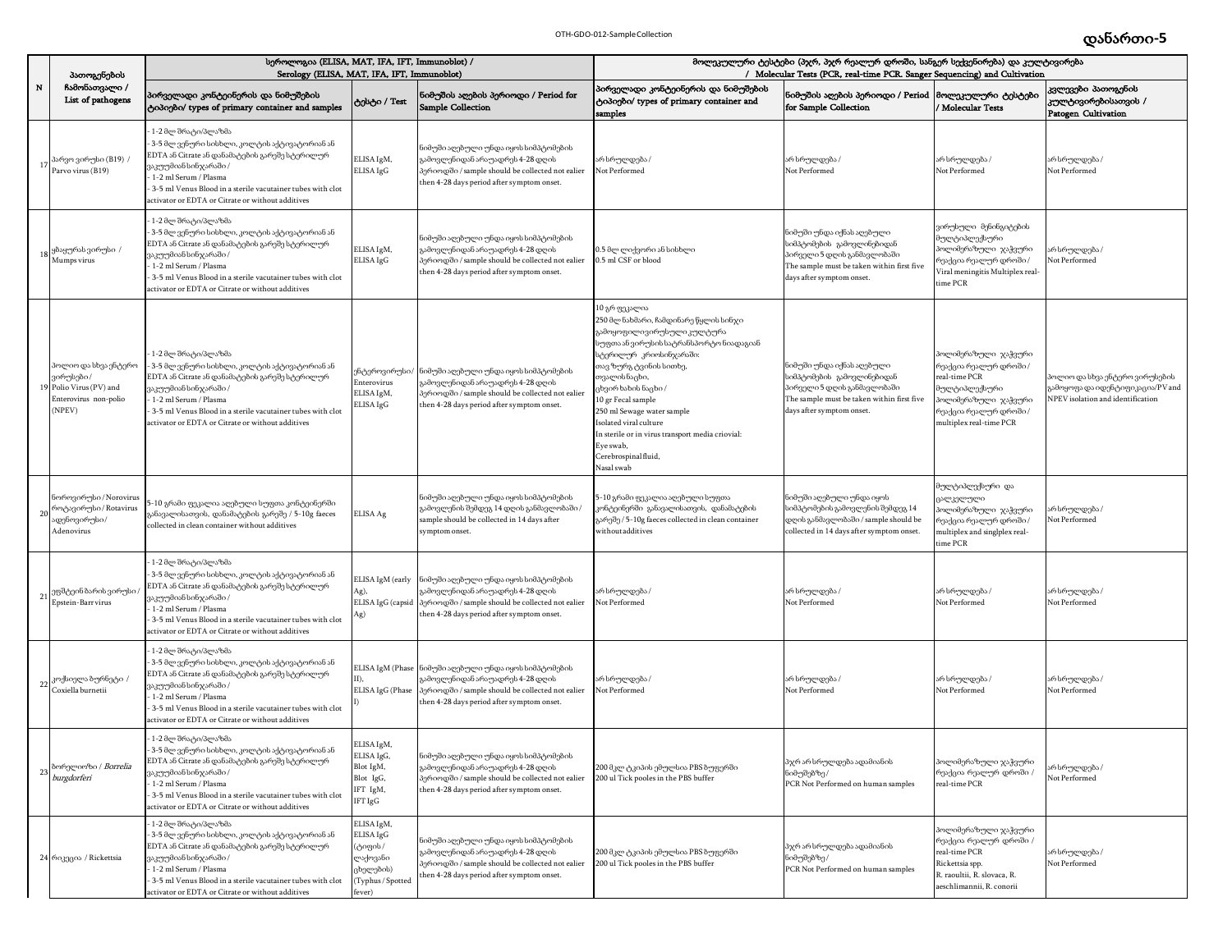|    | პათოგენების                                                                                     | სეროლოგია (ELISA, MAT, IFA, IFT, Immunoblot) /<br>Serology (ELISA, MAT, IFA, IFT, Immunoblot)                                                                                                                                                                                                    |                                                                                            | მოლეკულური ტესტები (პჯრ, პჯრ რეალურ დროში, სანგერ სექვენირება) და კულტივირება<br>/ Molecular Tests (PCR, real-time PCR. Sanger Sequencing) and Cultivation                                    |                                                                                                                                                                                                                                                                                                                                                                                                                 |                                                                                                                                                                   |                                                                                                                                                               |                                                                                                               |
|----|-------------------------------------------------------------------------------------------------|--------------------------------------------------------------------------------------------------------------------------------------------------------------------------------------------------------------------------------------------------------------------------------------------------|--------------------------------------------------------------------------------------------|-----------------------------------------------------------------------------------------------------------------------------------------------------------------------------------------------|-----------------------------------------------------------------------------------------------------------------------------------------------------------------------------------------------------------------------------------------------------------------------------------------------------------------------------------------------------------------------------------------------------------------|-------------------------------------------------------------------------------------------------------------------------------------------------------------------|---------------------------------------------------------------------------------------------------------------------------------------------------------------|---------------------------------------------------------------------------------------------------------------|
| N  | ჩამონათვალი /<br>List of pathogens                                                              | პირველადი კონტეინერის და ნიმუშების<br>ტიპიები/ types of primary container and samples                                                                                                                                                                                                            | ტესტი / Test                                                                               | ნიმუშის აღების პერიოდი / Period for<br><b>Sample Collection</b>                                                                                                                               | პირველადი კონტეინერის და ნიმუშების<br>ტიპიები/ types of primary container and<br>samples                                                                                                                                                                                                                                                                                                                        | ნიმუშის აღების პერიოდი / Period<br>for Sample Collection                                                                                                          | მოლეკულური ტესტები<br>Molecular Tests                                                                                                                         | კვლევები პათოგენის<br>კულტივირებისათვის /<br>Patogen Cultivation                                              |
|    | 17 <sup>პარვო ვირუსი (B19)</sup> /<br>Parvo virus (B19)                                         | - 1-2 მლ შრატი/პლაზმა<br>- 3-5 მლ ვენური სისხლი, კოლტის აქტივატორიან ან<br>EDTA ან Citrate ან დანამატების გარეშე სტერილურ<br>ვაკუუმიან სინჯარაში /<br>1-2 ml Serum / Plasma<br>3-5 ml Venus Blood in a sterile vacutainer tubes with clot<br>ectivator or EDTA or Citrate or without additives   | ELISA IgM,<br>ELISA IgG                                                                    | ნიმუში აღებული უნდა იყოს სიმპტომების<br>გამოვლენიდან არაუადრეს 4-28 დღის<br>პერიოდში / sample should be collected not ealier<br>then 4-28 days period after symptom onset.                    | არ სრულდება /<br>Not Performed                                                                                                                                                                                                                                                                                                                                                                                  | არ სრულდება /<br>Not Performed                                                                                                                                    | არ სრულდება /<br>Not Performed                                                                                                                                | არ სრულდება /<br>Not Performed                                                                                |
| 18 | ყბაყურას ვირუსი /<br>Mumps virus                                                                | - 1-2 მლ შრატი/პლაზმა<br>: 3-5 მლ ვენური სისხლი, კოლტის აქტივატორიან ან<br>EDTA ან Citrate ან დანამატების გარეშე სტერილურ<br>ვაკუუმიან სინჯარაში /<br>1-2 ml Serum / Plasma<br>3-5 ml Venus Blood in a sterile vacutainer tubes with clot<br>activator or EDTA or Citrate or without additives   | ELISA IgM,<br>ELISA IgG                                                                    | ნიმუში აღებული უნდა იყოს სიმპტომების<br>გამოვლენიდან არაუადრეს 4-28 დღის<br>პერიოდში / sample should be collected not ealier<br>then 4-28 days period after symptom onset.                    | 0.5 მლ ლიქვორი ან სისხლი<br>0.5 ml CSF or blood                                                                                                                                                                                                                                                                                                                                                                 | ნიმუში უნდა იქნას აღებული<br>აიმპტომების გამოვლინებიდან<br>პირველი 5 დღის განმავლობაში<br>The sample must be taken within first five<br>days after symptom onset. | ვირუსული მენინგიტების<br>ხულტიპლექსური<br>პოლიმერაზული ჯაჭვური<br>რეაქცია რეალურ დროში /<br>Viral meningitis Multiplex real-<br>ime PCR                       | რ სრულდება /<br>Not Performed                                                                                 |
|    | პოლიო და სხვა ენტერო<br>ვირუსები/<br>19 Polio Virus (PV) and<br>Enterovirus non-polio<br>(NPEV) | - 1-2 მლ შრატი/პლაზმა<br>- 3-5 მლ ვენური სისხლი, კოლტის აქტივატორიან ან<br>EDTA ან Citrate ან დანამატების გარეშე სტერილურ<br>ვაკუუმიან სინჯარაში /<br>- 1-2 ml Serum / Plasma<br>3-5 ml Venus Blood in a sterile vacutainer tubes with clot<br>activator or EDTA or Citrate or without additives | ენტეროვირუსი/<br>Enterovirus<br>ELISA IgM,<br>ELISA IgG                                    | ნიმუში აღებული უნდა იყოს სიმპტომების<br>გამოვლენიდან არაუადრეს 4-28 დღის<br>პერიოდში / sample should be collected not ealier<br>then 4-28 days period after symptom onset.                    | .0 გრ ფეკალია<br>250 მლ ნახმარი, ჩამდინარე წყლის სინჯი<br>გამოყოფილივირუსული კულტურა<br>აუფთა ან ვირუსის სატრანსპორტო ნიადაგიან<br>ატერილურ კრიოსინჯარაში:<br>თავ ზურგ ტვინის სითხე,<br>თვალის ნაცხი,<br>ვხვირ ხახის ნაცხი /<br>10 gr Fecal sample<br>250 ml Sewage water sample<br>solated viral culture<br>n sterile or in virus transport media criovial:<br>Eye swab,<br>Cerebrospinal fluid,<br>Nasal swab | ნიმუში უნდა იქნას აღებული<br>აიმპტომების გამოვლინებიდან<br>პირველი 5 დღის განმავლობაში<br>The sample must be taken within first five<br>days after symptom onset. | პოლიმერაზული ჯაჭვური<br>რეაქცია რეალურ დროში /<br>real-time PCR<br>მულტიპლექსური<br>აოლიმერაზული ჯაჭვური<br>რეაქცია რეალურ დროში /<br>multiplex real-time PCR | ოლიო და სხვა ენტერო ვირუსების<br>ჯამოყოფა და იდენტიფიკაცია/PV and<br><b>NPEV</b> isolation and identification |
| 20 | ნოროვირუსი / Norovirus<br>როტავირუსი / Rotavirus<br>ადენოვირუსი/<br>Adenovirus                  | 5-10 გრამი ფეკალია აღებული სუფთა კონტეინერში<br>განავალისათვის, დანამატების გარეშე / 5-10g faeces<br>collected in clean container without additives                                                                                                                                              | ELISA Ag                                                                                   | ნიმუში აღებული უნდა იყოს სიმპტომების<br>გამოვლენის შემდეგ 14 დღის განმავლობაში /<br>sample should be collected in 14 days after<br>symptom onset.                                             | 5-10 გრამი ფეკალია აღებული სუფთა<br>კონტეინერში განავალისათვის, დანამატების<br>გარეშე / 5-10g faeces collected in clean container<br>withoutadditives                                                                                                                                                                                                                                                           | ნიმუში აღებული უნდა იყოს<br>სიმპტომების გამოვლენის შემდეგ 14<br>დღის განმავლობაში / sample should be<br>collected in 14 days after symptom onset.                 | ჭულტიპლექსური და<br>კალკელული<br><mark>ა</mark> ოლიმერაზული ჯაჭვური<br>რეაქცია რეალურ დროში /<br>nultiplex and singlplex real-<br>ime PCR                     | რ სრულდება /<br>Not Performed                                                                                 |
| 21 | ეფშტეინ ბარის ვირუსი<br>Epstein-Barr virus                                                      | 1-2 მლ შრატი/პლაზმა<br>- 3-5 მლ ვენური სისხლი, კოლტის აქტივატორიან ან<br>EDTA ან Citrate ან დანამატების გარეშე სტერილურ<br>ვაკუუმიან სინჯარაში /<br>1-2 ml Serum / Plasma<br>3-5 ml Venus Blood in a sterile vacutainer tubes with clot<br>activator or EDTA or Citrate or without additives     | ELISA IgM (early<br>Ag),<br>ELISA IgG (capsid<br>Ag)                                       | ნიმუში აღებული უნდა იყოს სიმპტომების<br>გამოვლენიდან არაუადრეს 4-28 დღის<br>პერიოდში / sample should be collected not ealier<br>then 4-28 days period after symptom onset.                    | არ სრულდება /<br>Not Performed                                                                                                                                                                                                                                                                                                                                                                                  | არ სრულდება /<br><b>Not Performed</b>                                                                                                                             | არ სრულდება /<br>Not Performed                                                                                                                                | არ სრულდება /<br>Not Performed                                                                                |
| 22 | კოქსიელა ბურნეტი /<br>Coxiella burnetii                                                         | · 1-2 მლ შრატი/პლაზმა<br>- 3-5 მლ ვენური სისხლი, კოლტის აქტივატორიან ან<br>EDTA ან Citrate ან დანამატების გარეშე სტერილურ<br>ვაკუუმიან სინჯარაში /<br>1-2 ml Serum / Plasma<br>3-5 ml Venus Blood in a sterile vacutainer tubes with clot<br>ectivator or EDTA or Citrate or without additives   | ELISA IgG (Phase                                                                           | ELISA IgM (Phase   ნიმუში აღებული უნდა იყოს სიმპტომების<br>გამოვლენიდან არაუადრეს 4-28 დღის<br>პერიოდში / sample should be collected not ealier<br>then 4-28 days period after symptom onset. | არ სრულდება /<br>Not Performed                                                                                                                                                                                                                                                                                                                                                                                  | არ სრულდება /<br>Not Performed                                                                                                                                    | არ სრულდება /<br>Not Performed                                                                                                                                | არ სრულდება /<br>Not Performed                                                                                |
| 23 | ბორელიოზი / Borrelia<br>burgdorferi                                                             | 1-2 მლ შრატი/პლაზმა<br>3-5 მლ ვენური სისხლი, კოლტის აქტივატორიან ან<br>EDTA ან Citrate ან დანამატების გარეშე სტერილურ<br>ვაკუუმიან სინჯარაში /<br>1-2 ml Serum / Plasma<br>3-5 ml Venus Blood in a sterile vacutainer tubes with clot<br>ectivator or EDTA or Citrate or without additives       | ELISA IgM,<br>ELISA IgG,<br>Blot IgM,<br>Blot IgG,<br>IFT IgM,<br>IFT IgG                  | ნიმუში აღებული უნდა იყოს სიმპტომების<br>გამოვლენიდან არაუადრეს 4-28 დღის<br>პერიოდში / sample should be collected not ealier<br>then 4-28 days period after symptom onset.                    | 200 მკლ ტკიპის ემულსია PBS ზუფერში<br>200 ul Tick pooles in the PBS buffer                                                                                                                                                                                                                                                                                                                                      | პჯრ არ სრულდება ადამიანის<br>ნიმუშებზე/<br>PCR Not Performed on human samples                                                                                     | პოლიმერაზული ჯაჭვური<br>რეაქცია რეალურ დროში /<br>real-time PCR                                                                                               | რ სრულდება /<br>Not Performed                                                                                 |
|    | 24 რიკეცია / Rickettsia                                                                         | - 1-2 მლ შრატი/პლაზმა<br>3-5 მლ ვენური სისხლი, კოლტის აქტივატორიან ან<br>EDTA ან Citrate ან დანამატების გარეშე სტერილურ<br>ვაკუუმიან სინჯარაში /<br>1-2 ml Serum / Plasma<br>3-5 ml Venus Blood in a sterile vacutainer tubes with clot<br>ectivator or EDTA or Citrate or without additives     | ELISA IgM,<br>ELISA IgG<br>(ტიფის /<br>ლაქოვანი<br>ცხელების)<br>(Typhus / Spotted<br>ever) | ნიმუში აღებული უნდა იყოს სიმპტომების<br>გამოვლენიდან არაუადრეს 4-28 დღის<br>პერიოდში / sample should be collected not ealier<br>then 4-28 days period after symptom onset.                    | 200 მკლ ტკიპის ემულსია PBS ზუფერში<br>200 ul Tick pooles in the PBS buffer                                                                                                                                                                                                                                                                                                                                      | პჯრ არ სრულდება ადამიანის<br>ნიმუშებზე/<br>PCR Not Performed on human samples                                                                                     | პოლიმერაზული ჯაჭვური<br>რეაქცია რეალურ დროში /<br>real-time PCR<br>Rickettsia spp.<br>R. raoultii, R. slovaca, R.<br>eschlimannii, R. conorii                 | არ სრულდება /<br>Not Performed                                                                                |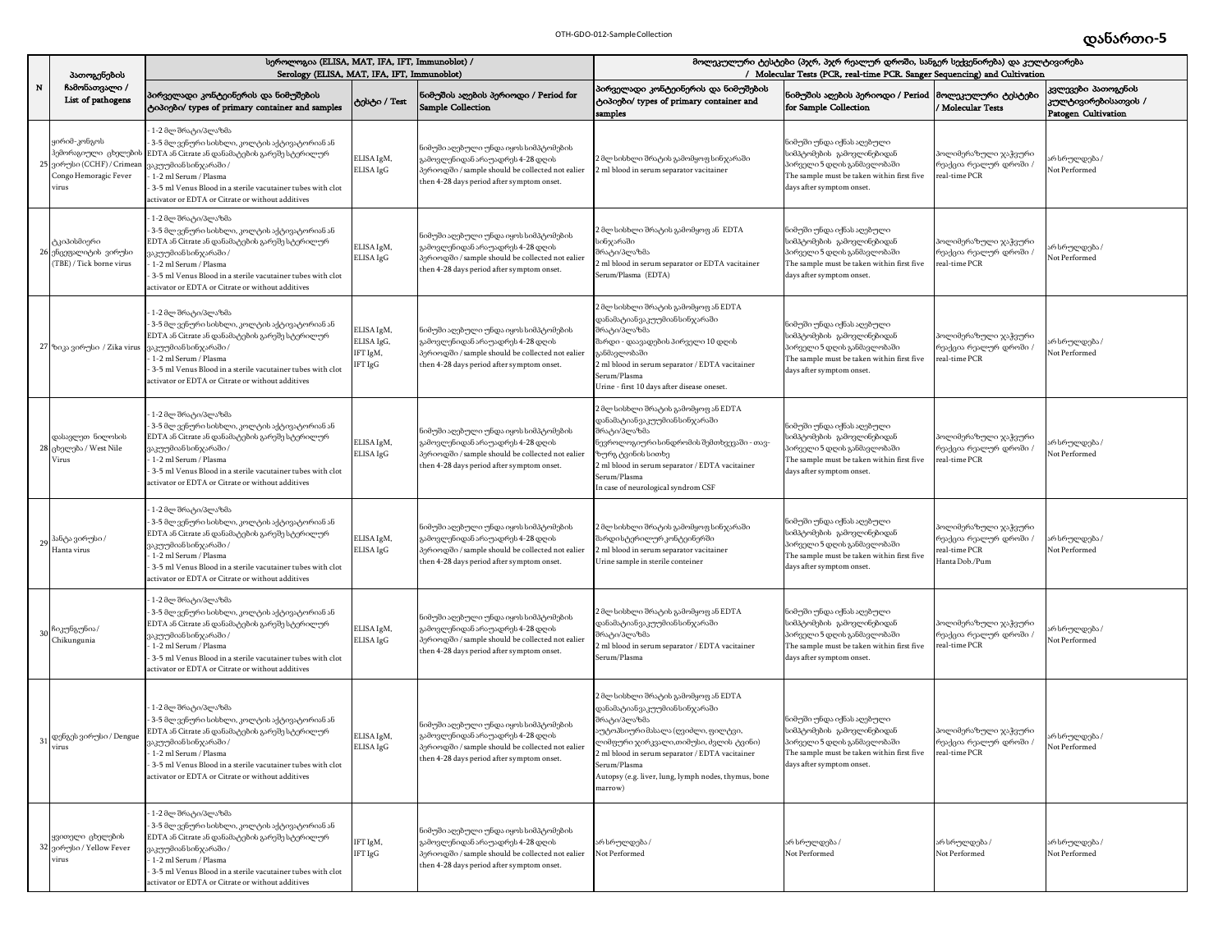|                | პათოგენების                                                                                                         | სეროლოგია (ELISA, MAT, IFA, IFT, Immunoblot) /<br>Serology (ELISA, MAT, IFA, IFT, Immunoblot)                                                                                                                                                                                                |                                                 |                                                                                                                                                                            | მოლეკულური ტესტები (პჯრ, პჯრ რეალურ დროში, სანგერ სექვენირება) და კულტივირება<br>/ Molecular Tests (PCR, real-time PCR. Sanger Sequencing) and Cultivation                                                                                                                                               |                                                                                                                                                                                 |                                                                                         |                                                                  |  |
|----------------|---------------------------------------------------------------------------------------------------------------------|----------------------------------------------------------------------------------------------------------------------------------------------------------------------------------------------------------------------------------------------------------------------------------------------|-------------------------------------------------|----------------------------------------------------------------------------------------------------------------------------------------------------------------------------|----------------------------------------------------------------------------------------------------------------------------------------------------------------------------------------------------------------------------------------------------------------------------------------------------------|---------------------------------------------------------------------------------------------------------------------------------------------------------------------------------|-----------------------------------------------------------------------------------------|------------------------------------------------------------------|--|
| ${\bf N}$      | ჩამონათვალი /<br>List of pathogens                                                                                  | პირველადი კონტეინერის და ნიმუშების<br>ტიპიები/ types of primary container and samples                                                                                                                                                                                                        | ტესტი / Test                                    | ნიმუშის აღების პერიოდი / Period for<br><b>Sample Collection</b>                                                                                                            | პირველადი კონტეინერის და ნიმუშების<br>ტიპიები/ types of primary container and<br>samples                                                                                                                                                                                                                 | ნიმუშის აღების პერიოდი / Period<br>for Sample Collection                                                                                                                        | მოლეკულური ტესტები<br>Molecular Tests                                                   | კვლევები პათოგენის<br>კულტივირებისათვის /<br>Patogen Cultivation |  |
|                | ყირიმ-კონგოს<br>ჰემორაგიული ცხელე <mark>ბ</mark> ის<br>25 ვირუსი (CCHF) / Crimean<br>Congo Hemoragic Fever<br>virus | : 1-2 მლ შრატი/პლაზმა<br>3-5 მლ ვენური სისხლი, კოლტის აქტივატორიან ან<br>EDTA ან Citrate ან დანამატების გარეშე სტერილურ<br>ვაკუუმიან სინჯარაში /<br>1-2 ml Serum / Plasma<br>3-5 ml Venus Blood in a sterile vacutainer tubes with clot<br>activator or EDTA or Citrate or without additives | ELISA IgM,<br>ELISA IgG                         | iიმუში აღეზული უნდა იყოს სიმპტომების<br>ამოვლენიდან არაუადრეს 4-28 დღის<br>პერიოდში / sample should be collected not ealier<br>then 4-28 days period after symptom onset.  | 2 მლ სისხლი შრატის გამომყოფ სი <mark>ნ</mark> ჯარაში<br>2 ml blood in serum separator vacitainer                                                                                                                                                                                                         | ნიმუში უნდა იქნას აღებული<br>აიმპტომების გამოვლინებიდან<br>პირველი 5 დღის განმავლობაში<br>The sample must be taken within first five<br>days after symptom onset.               | ოლიმერაზული ჯაჭვური<br>რეაქცია რეალურ დროში /<br>real-time PCR                          | რ სრულდება /<br>Not Performed                                    |  |
|                | ტკიპისმიერი<br>26 ენცეფალიტის ვირუსი<br>(TBE) / Tick borne virus                                                    | 1-2 მლ შრატი/პლაზმა<br>3-5 მლ ვენური სისხლი, კოლტის აქტივატორიან ან<br>EDTA ან Citrate ან დანამატების გარეშე სტერილურ<br>ცაკუუმიან სინჯარაში /<br>1-2 ml Serum / Plasma<br>3-5 ml Venus Blood in a sterile vacutainer tubes with clot<br>activator or EDTA or Citrate or without additives   | ELISA IgM,<br>ELISA IgG                         | ნიმუში აღებული უნდა იყოს სიმპტომების<br>ამოვლენიდან არაუადრეს 4-28 დღის<br>პერიოდში / sample should be collected not ealier<br>then 4-28 days period after symptom onset.  | 2 მლ სისხლი შრატის გამომყოფ ან EDTA<br>სინჯარაში<br>მრატი/პლაზმა<br>ml blood in serum separator or EDTA vacitainer<br>Serum/Plasma (EDTA)                                                                                                                                                                | ნიმუში უნდა იქნას აღებული<br>სიმპტომების გამოვლინებიდან<br>პირველი 5 დღის განმავლობაში<br>The sample must be taken within first five<br>days after symptom onset.               | ოლიმერაზული ჯაჭვური<br>რეაქცია რეალურ დროში /<br>real-time PCR                          | რ სრულდება /<br>Not Performed                                    |  |
|                | 27 ზიკა ვირუსი / Zika virus                                                                                         | 1-2 მლ შრატი/პლაზმა<br>- 3-5 მლ ვენური სისხლი, კოლტის აქტივატორიან ან<br>EDTA ან Citrate ან დანამატების გარეშე სტერილურ<br>ვაკუუმიან სინჯარაში /<br>1-2 ml Serum / Plasma<br>3-5 ml Venus Blood in a sterile vacutainer tubes with clot<br>ctivator or EDTA or Citrate or without additives  | ELISA IgM,<br>ELISA IgG,<br>IFT IgM,<br>IFT IgG | ნიმუში აღებული უნდა იყოს სიმპტომების<br>კამოვლენიდან არაუადრეს 4-28 დღის<br>პერიოდში / sample should be collected not ealier<br>then 4-28 days period after symptom onset. | ! მლ სისხლი შრატის გამომყოფ ან EDTA<br>დანამატიანვაკუუმიანსინჯარაში<br>შრატი/პლაზმა<br>შარდი - დაავადების პირველი 10 დღის<br>ანმავლობაში<br>2 ml blood in serum separator / EDTA vacitainer<br>Serum/Plasma<br>Jrine - first 10 days after disease oneset.                                               | ნიმუში უნდა იქნას აღებული<br>სიმპტომების გამოვლინებიდან<br>პირველი 5 დღის განმავლობაში<br>The sample must be taken within first five<br>days after symptom onset.               | პოლიმერაზული ჯაჭვური<br>რეაქცია რეალურ დროში /<br>real-time PCR                         | რ სრულდება /<br>Not Performed                                    |  |
|                | დასავლეთ ნილოსის<br>28 ცხელება / West Nile<br>Virus                                                                 | : 1-2 მლ შრატი/პლაზმა<br>3-5 მლ ვენური სისხლი, კოლტის აქტივატორიან ან<br>EDTA ან Citrate ან დანამატების გარეშე სტერილურ<br>ვაკუუმიან სინჯარაში /<br>1-2 ml Serum / Plasma<br>3-5 ml Venus Blood in a sterile vacutainer tubes with clot<br>ctivator or EDTA or Citrate or without additives  | ELISA IgM,<br>ELISA IgG                         | ნიმუში აღებული უნდა იყოს სიმპტომების<br>კამოვლენიდან არაუადრეს 4-28 დღის<br>პერიოდში / sample should be collected not ealier<br>then 4-28 days period after symptom onset. | : მლ სისხლი შრატის გამომყოფ ან EDTA<br>pანამატიანვაკუუმიანსინჯარაში<br>შრატი/პლაზმა<br>.<br>ნევროლოგიური სინდრომის შემთხვევაში - თავ-<br>ხურგ ტვინის სითხე<br>2 ml blood in serum separator / EDTA vacitainer<br>Serum/Plasma<br>in case of neurological syndrom CSF                                     | ნიმუში უნდა იქნას აღებული<br>სიმპტომების გამოვლინებიდან<br>პირველი 5 დღის განმავლობაში<br>The sample must be taken within first five<br>days after symptom onset.               | პოლიმერაზული ჯაჭვური<br>რეაქცია რეალურ დროში /<br>real-time PCR                         | არ სრულდება /<br>Not Performed                                   |  |
| 29             | ჰანტა ვირუსი⊅<br>Hanta virus                                                                                        | 1-2 მლ შრატი/პლაზმა<br>3-5 მლ ვენური სისხლი, კოლტის აქტივატორიან ან<br>EDTA ან Citrate ან დანამატების გარეშე სტერილურ<br>ცაკუუმიან სინჯარაში /<br>1-2 ml Serum / Plasma<br>3-5 ml Venus Blood in a sterile vacutainer tubes with clot<br>ctivator or EDTA or Citrate or without additives    | ELISA IgM,<br>ELISA IgG                         | ნიმუში აღებული უნდა იყოს სიმპტომების<br>კამოვლენიდან არაუადრეს 4-28 დღის<br>პერიოდში / sample should be collected not ealier<br>then 4-28 days period after symptom onset. | 2 მლ სისხლი შრატის გამომყოფ სინჯარაში<br>შარდისტერილურკონტეინერში<br>2 ml blood in serum separator vacitainer<br>Jrine sample in sterile conteiner                                                                                                                                                       | ნიმუში უნდა იქნას აღებული<br>აიმპტომების გამოვლინებიდან<br>პირველი 5 დღის განმავლობაში<br>The sample must be taken within first five<br>days after symptom onset.               | სოლიმერაზული ჯაჭვური<br>რეაქცია რეალურ დროში /<br>eal-time PCR<br><b>Hanta Dob./Pum</b> | არ სრულდება /<br>Not Performed                                   |  |
| 3 <sup>0</sup> | ჩიკუნგუნია/<br>Chikungunia                                                                                          | : 1-2 მლ შრატი/პლაზმა<br>3-5 მლ ვენური სისხლი, კოლტის აქტივატორიან ან<br>EDTA ან Citrate ან დანამატების გარეშე სტერილურ<br>ვაკუუმიან სინჯარაში /<br>1-2 ml Serum / Plasma<br>3-5 ml Venus Blood in a sterile vacutainer tubes with clot<br>activator or EDTA or Citrate or without additives | ELISA IgM,<br>ELISA IgG                         | ნიმუში აღეზული უნდა იყოს სიმპტომების<br>ამოვლენიდან არაუადრეს 4-28 დღის<br>პერიოდში / sample should be collected not ealier<br>then 4-28 days period after symptom onset.  | : მლ სისხლი შრატის გამომყოფ ან EDTA<br>დანამატიანვაკუუმიანსინჯარაში<br>მრატი/პლაზმა<br>ml blood in serum separator / EDTA vacitainer<br>erum/Plasma                                                                                                                                                      | ნიმუში უნდა იქნას აღებული<br>სიმპტომების გამოვლინებიდან<br>პირველი 5 დღის განმავლობაში<br>The sample must be taken within first five<br>days after symptom onset.               | სოლიმერაზული ჯაჭვური<br>რეაქცია რეალურ დროში /<br>eal-time PCR                          | არ სრულდება /<br>Not Performed                                   |  |
|                | ვ $1$ დენგეს ვირუსი / Dengue<br>virus                                                                               | 1-2 მლ შრატი/პლაზმა<br>3-5 მლ ვენური სისხლი, კოლტის აქტივატორიან ან<br>EDTA ან Citrate ან დანამატების გარეშე სტერილურ<br>ვაკუუმიან სინჯარაში /<br>1-2 ml Serum / Plasma<br>3-5 ml Venus Blood in a sterile vacutainer tubes with clot<br>activator or EDTA or Citrate or without additives   | ELISA IgM,<br>ELISA IgG                         | ნიმუში აღებული უნდა იყოს სიმპტომების<br>გამოვლენიდან არაუადრეს 4-28 დღის<br>პერიოდში / sample should be collected not ealier<br>then 4-28 days period after symptom onset. | 2 მლ სისხლი შრატის გამომყოფ ან EDTA<br>დანამატიანვაკუუმიანსინჯარაში<br>შრატი/პლაზმა<br>აუტოპსიური მასალა (ღვიძლი, ფილტვი,<br>ლიმფური ჯირკვალი,თიმუსი, ძვლის ტვინი)<br>2 ml blood in serum separator / EDTA vacitainer<br>Serum/Plasma<br>Autopsy (e.g. liver, lung, lymph nodes, thymus, bone<br>marrow) | ნიმუში უნდა იქნას აღებული<br>სიმპტომების გამოვლინებიდან<br>პირველი 5 დღის განმავლობაში<br>The sample must be taken within first five real-time PCR<br>days after symptom onset. | პოლიმერაზული ჯაჭვური<br>რეაქცია რეალურ დროში /                                          | არ სრულდება /<br>Not Performed                                   |  |
|                | ყვითელი ცხელების<br>32 ვირუსი / Yellow Fever<br>virus                                                               | 1-2 მლ შრატი/პლაზმა<br>3-5 მლ ვენური სისხლი, კოლტის აქტივატორიან ან<br>EDTA ან Citrate ან დანამატების გარეშე სტერილურ<br>ვაკუუმიან სინჯარაში /<br>1-2 ml Serum / Plasma<br>3-5 ml Venus Blood in a sterile vacutainer tubes with clot<br>ctivator or EDTA or Citrate or without additives    | IFT IgM,<br>IFT IgG                             | ნიმუში აღეზული უნდა იყოს სიმპტომეზის<br>გამოვლენიდან არაუადრეს 4-28 დღის<br>პერიოდში / sample should be collected not ealier<br>then 4-28 days period after symptom onset. | არ სრულდება /<br>Not Performed                                                                                                                                                                                                                                                                           | არ სრულდება /<br>Not Performed                                                                                                                                                  | არ სრულდება /<br>Not Performed                                                          | არ სრულდება /<br>Not Performed                                   |  |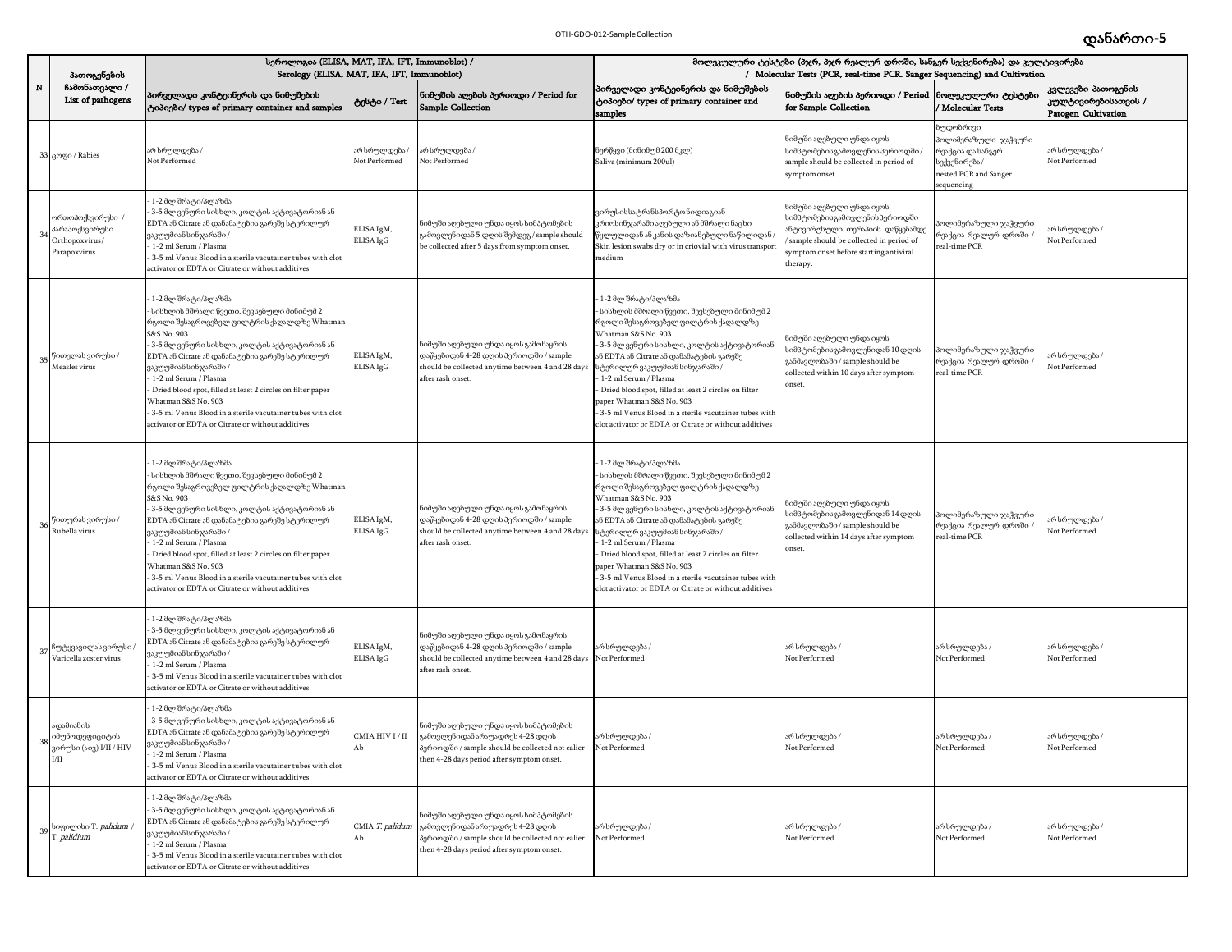|           | პათოგენების                                                          | სეროლოგია (ELISA, MAT, IFA, IFT, Immunoblot) /<br>Serology (ELISA, MAT, IFA, IFT, Immunoblot)                                                                                                                                                                                                                                                                                                                                                                                                |                                |                                                                                                                                                                                 | მოლეკულური ტესტები (პჯრ, პჯრ რეალურ დროში, სანგერ სექვენირება) და კულტივირება<br>/ Molecular Tests (PCR, real-time PCR. Sanger Sequencing) and Cultivation                                                                                                                                                                                                                                                                                                                                  |                                                                                                                                                                                                   |                                                                                                              |                                                                  |
|-----------|----------------------------------------------------------------------|----------------------------------------------------------------------------------------------------------------------------------------------------------------------------------------------------------------------------------------------------------------------------------------------------------------------------------------------------------------------------------------------------------------------------------------------------------------------------------------------|--------------------------------|---------------------------------------------------------------------------------------------------------------------------------------------------------------------------------|---------------------------------------------------------------------------------------------------------------------------------------------------------------------------------------------------------------------------------------------------------------------------------------------------------------------------------------------------------------------------------------------------------------------------------------------------------------------------------------------|---------------------------------------------------------------------------------------------------------------------------------------------------------------------------------------------------|--------------------------------------------------------------------------------------------------------------|------------------------------------------------------------------|
| ${\bf N}$ | ჩამონათვალი /<br>List of pathogens                                   | პირველადი კონტეინერის და ნიმუშების<br>ტიპიები/ types of primary container and samples                                                                                                                                                                                                                                                                                                                                                                                                        | ტესტი / Test                   | ioმუშის აღების პერიოდი / Period for<br><b>Sample Collection</b>                                                                                                                 | პირველადი კონტეინერის და ნიმუშების<br>ტიპიები/ types of primary container and<br>samples                                                                                                                                                                                                                                                                                                                                                                                                    | ნიმუშის აღების პერიოდი / Period<br>for Sample Collection                                                                                                                                          | მოლეკულური ტესტები<br>Molecular Tests                                                                        | კვლევები პათოგენის<br>კულტივირებისათვის /<br>Patogen Cultivation |
|           | 33 <sub>G</sub> mgo / Rabies                                         | არ სრულდება /<br>Not Performed                                                                                                                                                                                                                                                                                                                                                                                                                                                               | არ სრულდება ,<br>Not Performed | რ სრულდება /<br>Not Performed                                                                                                                                                   | ნერწყვი (მინიმუმ 200 მკლ)<br>Saliva (minimum 200ul)                                                                                                                                                                                                                                                                                                                                                                                                                                         | ნიმუში აღებული უნდა იყოს<br>სიმპტომების გამოვლენის პერიოდში /<br>sample should be collected in period of<br>symptom onset.                                                                        | უდობრივი<br>ოლიმერაზული ჯაჭვური<br>რეაქცია და სანგერ<br>აექვენირება /<br>nested PCR and Sanger<br>sequencing | არ სრულდება /<br>Not Performed                                   |
|           | ორთოპოქსვირუსი ⊅<br>პარაპოქსვირუსი<br>Orthopoxvirus/<br>Parapoxvirus | 1-2 მლ შრატი/პლაზმა<br>3-5 მლ ვენური სისხლი, კოლტის აქტივატორიან ან<br>EDTA ან Citrate ან დანამატების გარეშე სტერილურ<br>ვაკუუმიან სინჯარაში /<br>1-2 ml Serum / Plasma<br>3-5 ml Venus Blood in a sterile vacutainer tubes with clot<br>ctivator or EDTA or Citrate or without additives                                                                                                                                                                                                    | ELISA IgM,<br>ELISA IgG        | ნიმუში აღებული უნდა იყოს სიმპტომების<br>კამოვლენიდან 5 დღის შემდეგ / sample should<br>be collected after 5 days from symptom onset.                                             | ვირუსისსატრანსპორტონიდიაგიან<br>კრიოსინჯარაში აღებული ან მშრალი ნაცხი<br>,<br>ეყლულიდან ან კანის დაზიანებული ნაწილიდან<br>Skin lesion swabs dry or in criovial with virus transport<br>nedium                                                                                                                                                                                                                                                                                               | ნიმუში აღებული უნდა იყოს<br>სიმპტომეზის გამოვლენის პერიოდში<br>ანტივირუსული თერაპიის დაწყებამდე<br>sample should be collected in period of<br>symptom onset before starting antiviral<br>therapy. | ოლიმერაზული ჯაჭვური<br>.<br>რეაქცია რეალურ დროში<br>eal-time PCR                                             | რ სრულდება /<br>Not Performed                                    |
| 35        | წითელას ვირუსი /<br>Measles virus                                    | 1-2 მლ შრატი/პლაზმა<br>სისხლის მშრალი წვეთი, შევსებული მინიმუმ 2<br>რგოლი შესაგროვებელ ფილტრის ქაღალდზე Whatman<br>S&S No. 903<br>3-5 მლ ვენური სისხლი, კოლტის აქტივატორიან ან<br>EDTA ან Citrate ან დანამატების გარეშე სტერილურ<br>ვაკუუმიან სინჯარაში /<br>1-2 ml Serum / Plasma<br>Dried blood spot, filled at least 2 circles on filter paper<br>Vhatman S&S No. 903<br>3-5 ml Venus Blood in a sterile vacutainer tubes with clot<br>ctivator or EDTA or Citrate or without additives   | ELISA IgM,<br>ELISA IgG        | ნიმუში აღებული უნდა იყოს გამონაყრის<br>დაწყებიდან 4-28 დღის პერიოდში / sample<br>should be collected anytime between 4 and 28 days<br>after rash onset.                         | 1-2 მლ შრატი/პლაზმა<br>სისხლის მშრალი წვეთი, შევსებული მინიმუმ 2<br>რგოლი შესაგროვებელ ფილტრის ქაღალდზე<br>Whatman S&S No. 903<br>3-5 მლ ვენური სისხლი, კოლტის აქტივატორიან<br>ან EDTA ან Citrate ან დანამატების გარეშე<br>ტერილურვაკუუმიან სინჯარაში /<br>1-2 ml Serum / Plasma<br>Dried blood spot, filled at least 2 circles on filter<br>aper Whatman S&S No. 903<br>3-5 ml Venus Blood in a sterile vacutainer tubes with<br>lot activator or EDTA or Citrate or without additives     | ნიმუში აღებული უნდა იყოს<br>სიმპტომების გამოვლენიდან 10 დღის<br>განმავლობაში / sample should be<br>collected within 10 days after symptom<br>onset.                                               | პოლიმერაზული ჯა <mark>ჭ</mark> ვური<br>რეაქცია რეალურ დროში /<br>real-time PCR                               | რ სრულდება /<br>Not Performed                                    |
| 36        | წითურასვირუსი /<br>Rubella virus                                     | : 1-2 მლ შრატი/პლაზმა<br>სისხლის მშრალი წვეთი, შევსებული მინიმუმ 2<br>რგოლი შესაგროვებელ ფილტრის ქაღალდზე Whatman<br>S&S No. 903<br>3-5 მლ ვენური სისხლი, კოლტის აქტივატორიან ან<br>EDTA ან Citrate ან დანამატების გარეშე სტერილურ<br>ვაკუუმიან სინჯარაში /<br>1-2 ml Serum / Plasma<br>Dried blood spot, filled at least 2 circles on filter paper<br>Vhatman S&S No. 903<br>3-5 ml Venus Blood in a sterile vacutainer tubes with clot<br>ctivator or EDTA or Citrate or without additives | ELISA IgM,<br>ELISA IgG        | ნიმუში აღებული უნდა იყოს გამონაყრის<br>დაწყებიდან 4-28 დღის პერიოდში / sample<br>should be collected anytime between 4 and 28 days<br>after rash onset.                         | 1-2 მლ შრატი/პლაზმა<br>სისხლის მშრალი წვეთი, შევსებული მინიმუმ 2<br>რგოლი შესაგროვებელ ფილტრის ქაღალდზე<br>Whatman S&S No. 903<br>- 3-5 მლ ვენური სისხლი, კოლტის აქტივატორიან<br>ან EDTA ან Citrate ან დანამატების გარეშე<br>ატერილურვაკუუმიან სინჯარაში /<br>1-2 ml Serum / Plasma<br>Dried blood spot, filled at least 2 circles on filter<br>aper Whatman S&S No. 903<br>3-5 ml Venus Blood in a sterile vacutainer tubes with<br>clot activator or EDTA or Citrate or without additives | ნიმუში აღებული უნდა იყოს<br>აიმპტომების გამოვლენიდან 14 დღის<br>განმავლობაში / sample should be<br>collected within 14 days after symptom<br>onset.                                               | პოლიმერაზული ჯა <mark>ჭ</mark> ვური<br>რეაქცია რეალურ დროში /<br>real-time PCR                               | არ სრულდება /<br>Vot Performed                                   |
| 37        | ჩუტყვავილას ვირუსი /<br>Varicella zoster virus                       | : 1-2 მლ შრატი/პლაზმა<br>3-5 მლ ვენური სისხლი, კოლტის აქტივატორიან ან<br>EDTA ან Citrate ან დანამატების გარეშე სტერილურ<br>ვაკუუმიან სინჯარაში /<br>1-2 ml Serum / Plasma<br>3-5 ml Venus Blood in a sterile vacutainer tubes with clot<br>activator or EDTA or Citrate or without additives                                                                                                                                                                                                 | ELISA IgM,<br>ELISA IgG        | ნიმუში აღებული უნდა იყოს გამონაყრის<br>დაწყებიდან 4-28 დღის პერიოდში / sample<br>should be collected anytime between 4 and 28 days<br>after rash onset.                         | არ სრულდება /<br>Not Performed                                                                                                                                                                                                                                                                                                                                                                                                                                                              | არ სრულდება /<br>Not Performed                                                                                                                                                                    | არ სრულდება /<br>Not Performed                                                                               | არ სრულდება /<br>Not Performed                                   |
| 38        | ადამიანის<br>იმუნოდეფიციტის<br>ირუსი (აივ) I/II / HIV<br>$\rm I/II$  | : 1-2 მლ შრატი/პლაზმა<br>3-5 მლ ვენური სისხლი, კოლტის აქტივატორიან ან<br>EDTA ან Citrate ან დანამატების გარეშე სტერილურ<br>ვაკუუმიან სინჯარაში /<br>- 1-2 ml Serum / Plasma<br>- 3-5 ml Venus Blood in a sterile vacutainer tubes with clot<br>activator or EDTA or Citrate or without additives                                                                                                                                                                                             | CMIA HIV I / II<br>AЬ          | ნიმუში აღეზული უნდა იყოს სიმპტომეზის<br>გამოვლენიდან არაუადრეს 4-28 დღის<br>პერიოდში / sample should be collected not ealier<br>then 4-28 days period after symptom onset.      | არ სრულდება /<br>Not Performed                                                                                                                                                                                                                                                                                                                                                                                                                                                              | არ სრულდება /<br>Not Performed                                                                                                                                                                    | არ სრულდება /<br>Vot Performed                                                                               | არ სრულდება /<br>Not Performed                                   |
| 39        | სიფილისი T. palidum /<br>r. <i>palidium</i>                          | 1-2 მლ შრატი/პლაზმა<br>3-5 მლ ვენური სისხლი, კოლტის აქტივატორიან ან<br>EDTA ან Citrate ან დანამატების გარეშე სტერილურ<br>ვაკუუმიან სინჯარაში /<br>1-2 ml Serum / Plasma<br>3-5 ml Venus Blood in a sterile vacutainer tubes with clot<br>ctivator or EDTA or Citrate or without additives                                                                                                                                                                                                    | CMIA T. palidum<br>Ab          | .<br>ნიმუში აღებული უნდა იყოს სიმპტომების<br>გამოვლენიდან არაუადრეს 4-28 დღის<br>პერიოდში / sample should be collected not ealier<br>then 4-28 days period after symptom onset. | არ სრულდება /<br>Not Performed                                                                                                                                                                                                                                                                                                                                                                                                                                                              | არ სრულდება /<br>Not Performed                                                                                                                                                                    | არ სრულდება /<br>Not Performed                                                                               | არ სრულდება /<br>Not Performed                                   |